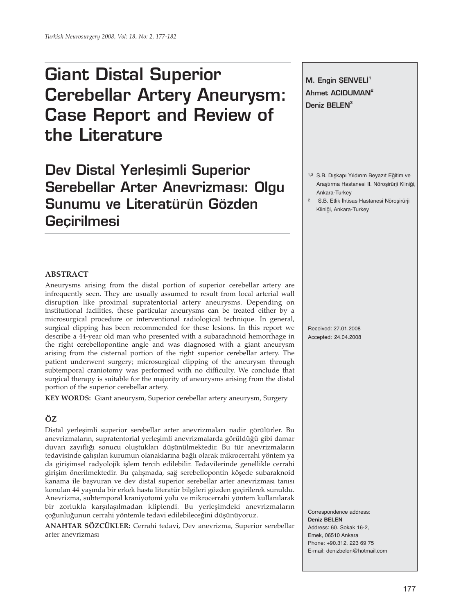# **Giant Distal Superior Cerebellar Artery Aneurysm: Case Report and Review of the Literature**

Dev Distal Yerleşimli Superior **Serebellar Arter Anevrizması: Olgu Sunumu ve Literatürün Gözden Geçirilmesi**

# **M. Engin SENVELİ<sup>1</sup> Ahmet ACIDUMAN2** Deniz **BELEN<sup>3</sup>**

- 1,3 S.B. Dışkapı Yıldırım Beyazıt Eğitim ve Araştırma Hastanesi II. Nöroşirürji Kliniği, Ankara-Turkey
- 2 S.B. Etlik İhtisas Hastanesi Nöroşirürji Kliniği, Ankara-Turkey

#### **ABSTRACT**

Aneurysms arising from the distal portion of superior cerebellar artery are infrequently seen. They are usually assumed to result from local arterial wall disruption like proximal supratentorial artery aneurysms. Depending on institutional facilities, these particular aneurysms can be treated either by a microsurgical procedure or interventional radiological technique. In general, surgical clipping has been recommended for these lesions. In this report we describe a 44-year old man who presented with a subarachnoid hemorrhage in the right cerebellopontine angle and was diagnosed with a giant aneurysm arising from the cisternal portion of the right superior cerebellar artery. The patient underwent surgery; microsurgical clipping of the aneurysm through subtemporal craniotomy was performed with no difficulty. We conclude that surgical therapy is suitable for the majority of aneurysms arising from the distal portion of the superior cerebellar artery.

**KEY WORDS:** Giant aneurysm, Superior cerebellar artery aneurysm, Surgery

# **ÖZ**

Distal yerleşimli superior serebellar arter anevrizmaları nadir görülürler. Bu anevrizmaların, supratentorial yerleşimli anevrizmalarda görüldüğü gibi damar duvarı zayıflığı sonucu oluştukları düşünülmektedir. Bu tür anevrizmaların tedavisinde çalışılan kurumun olanaklarına bağlı olarak mikrocerrahi yöntem ya da girişimsel radyolojik işlem tercih edilebilir. Tedavilerinde genellikle cerrahi girişim önerilmektedir. Bu çalışmada, sağ serebellopontin köşede subaraknoid kanama ile başvuran ve dev distal superior serebellar arter anevrizması tanısı konulan 44 yaşında bir erkek hasta literatür bilgileri gözden geçirilerek sunuldu. Anevrizma, subtemporal kraniyotomi yolu ve mikrocerrahi yöntem kullanılarak bir zorlukla karşılaşılmadan kliplendi. Bu yerleşimdeki anevrizmaların çoğunluğunun cerrahi yöntemle tedavi edilebileceğini düşünüyoruz.

**ANAHTAR SÖZCÜKLER:** Cerrahi tedavi, Dev anevrizma, Superior serebellar arter anevrizması

Received: 27.01.2008 Accepted: 24.04.2008

Correspondence address: **Deniz BELEN** Address: 60. Sokak 16-2, Emek, 06510 Ankara Phone: +90.312. 223 69 75 E-mail: denizbelen@hotmail.com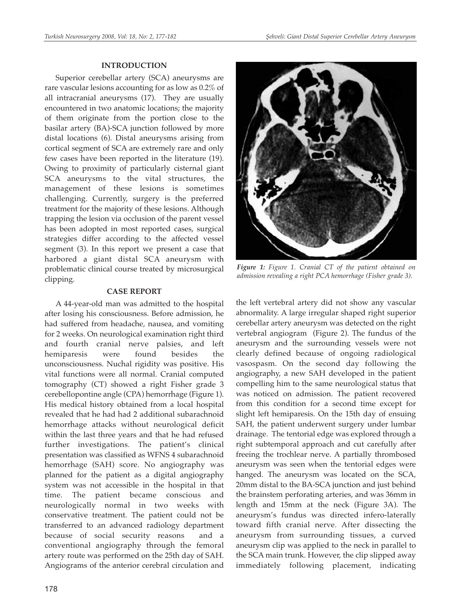### **INTRODUCTION**

Superior cerebellar artery (SCA) aneurysms are rare vascular lesions accounting for as low as 0.2% of all intracranial aneurysms (17). They are usually encountered in two anatomic locations; the majority of them originate from the portion close to the basilar artery (BA)-SCA junction followed by more distal locations (6). Distal aneurysms arising from cortical segment of SCA are extremely rare and only few cases have been reported in the literature (19). Owing to proximity of particularly cisternal giant SCA aneurysms to the vital structures, the management of these lesions is sometimes challenging. Currently, surgery is the preferred treatment for the majority of these lesions. Although trapping the lesion via occlusion of the parent vessel has been adopted in most reported cases, surgical strategies differ according to the affected vessel segment (3). In this report we present a case that harbored a giant distal SCA aneurysm with problematic clinical course treated by microsurgical clipping.

## **CASE REPORT**

A 44-year-old man was admitted to the hospital after losing his consciousness. Before admission, he had suffered from headache, nausea, and vomiting for 2 weeks. On neurological examination right third and fourth cranial nerve palsies, and left hemiparesis were found besides the unconsciousness. Nuchal rigidity was positive. His vital functions were all normal. Cranial computed tomography (CT) showed a right Fisher grade 3 cerebellopontine angle (CPA) hemorrhage (Figure 1). His medical history obtained from a local hospital revealed that he had had 2 additional subarachnoid hemorrhage attacks without neurological deficit within the last three years and that he had refused further investigations. The patient's clinical presentation was classified as WFNS 4 subarachnoid hemorrhage (SAH) score. No angiography was planned for the patient as a digital angiography system was not accessible in the hospital in that time. The patient became conscious and neurologically normal in two weeks with conservative treatment. The patient could not be transferred to an advanced radiology department because of social security reasons and a conventional angiography through the femoral artery route was performed on the 25th day of SAH. Angiograms of the anterior cerebral circulation and



*Figure 1: Figure 1. Cranial CT of the patient obtained on admission revealing a right PCA hemorrhage (Fisher grade 3).* 

the left vertebral artery did not show any vascular abnormality. A large irregular shaped right superior cerebellar artery aneurysm was detected on the right vertebral angiogram (Figure 2). The fundus of the aneurysm and the surrounding vessels were not clearly defined because of ongoing radiological vasospasm. On the second day following the angiography, a new SAH developed in the patient compelling him to the same neurological status that was noticed on admission. The patient recovered from this condition for a second time except for slight left hemiparesis. On the 15th day of ensuing SAH, the patient underwent surgery under lumbar drainage. The tentorial edge was explored through a right subtemporal approach and cut carefully after freeing the trochlear nerve. A partially thrombosed aneurysm was seen when the tentorial edges were hanged. The aneurysm was located on the SCA, 20mm distal to the BA-SCA junction and just behind the brainstem perforating arteries, and was 36mm in length and 15mm at the neck (Figure 3A). The aneurysm's fundus was directed infero-laterally toward fifth cranial nerve. After dissecting the aneurysm from surrounding tissues, a curved aneurysm clip was applied to the neck in parallel to the SCA main trunk. However, the clip slipped away immediately following placement, indicating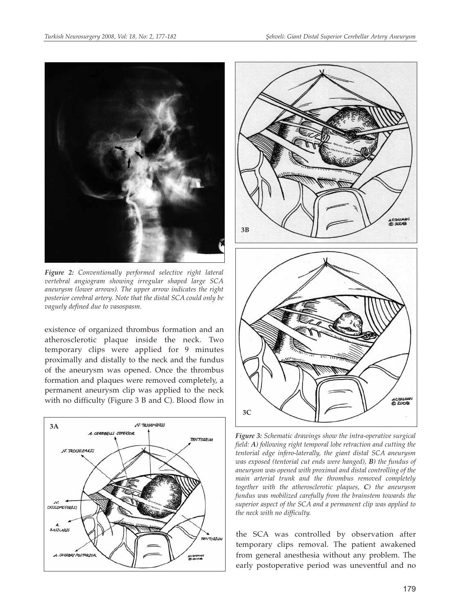

*Figure 2: Conventionally performed selective right lateral vertebral angiogram showing irregular shaped large SCA aneurysm (lower arrows). The upper arrow indicates the right posterior cerebral artery. Note that the distal SCA could only be vaguely defined due to vasospasm.* 

existence of organized thrombus formation and an atherosclerotic plaque inside the neck. Two temporary clips were applied for 9 minutes proximally and distally to the neck and the fundus of the aneurysm was opened. Once the thrombus formation and plaques were removed completely, a permanent aneurysm clip was applied to the neck with no difficulty (Figure 3 B and C). Blood flow in





*Figure 3: Schematic drawings show the intra-operative surgical field: A) following right temporal lobe retraction and cutting the tentorial edge infero-laterally, the giant distal SCA aneurysm was exposed (tentorial cut ends were hanged), B) the fundus of aneurysm was opened with proximal and distal controlling of the main arterial trunk and the thrombus removed completely together with the atherosclerotic plaques, C) the aneurysm fundus was mobilized carefully from the brainstem towards the superior aspect of the SCA and a permanent clip was applied to the neck with no difficulty.* 

the SCA was controlled by observation after temporary clips removal. The patient awakened from general anesthesia without any problem. The early postoperative period was uneventful and no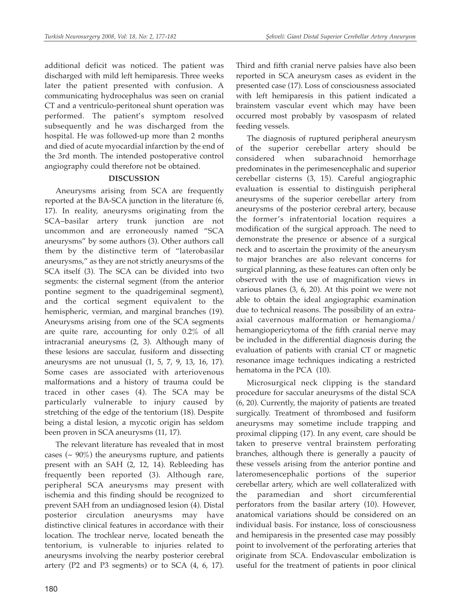additional deficit was noticed. The patient was discharged with mild left hemiparesis. Three weeks later the patient presented with confusion. A communicating hydrocephalus was seen on cranial CT and a ventriculo-peritoneal shunt operation was performed. The patient's symptom resolved subsequently and he was discharged from the hospital. He was followed-up more than 2 months and died of acute myocardial infarction by the end of the 3rd month. The intended postoperative control angiography could therefore not be obtained.

### **DISCUSSION**

Aneurysms arising from SCA are frequently reported at the BA-SCA junction in the literature (6, 17). In reality, aneurysms originating from the SCA–basilar artery trunk junction are not uncommon and are erroneously named "SCA aneurysms" by some authors (3). Other authors call them by the distinctive term of "laterobasilar aneurysms," as they are not strictly aneurysms of the SCA itself (3). The SCA can be divided into two segments: the cisternal segment (from the anterior pontine segment to the quadrigeminal segment), and the cortical segment equivalent to the hemispheric, vermian, and marginal branches (19). Aneurysms arising from one of the SCA segments are quite rare, accounting for only 0.2% of all intracranial aneurysms (2, 3). Although many of these lesions are saccular, fusiform and dissecting aneurysms are not unusual (1, 5, 7, 9, 13, 16, 17). Some cases are associated with arteriovenous malformations and a history of trauma could be traced in other cases (4). The SCA may be particularly vulnerable to injury caused by stretching of the edge of the tentorium (18). Despite being a distal lesion, a mycotic origin has seldom been proven in SCA aneurysms (11, 17).

The relevant literature has revealed that in most cases ( $\sim$  90%) the aneurysms rupture, and patients present with an SAH (2, 12, 14). Rebleeding has frequently been reported (3). Although rare, peripheral SCA aneurysms may present with ischemia and this finding should be recognized to prevent SAH from an undiagnosed lesion (4). Distal posterior circulation aneurysms may have distinctive clinical features in accordance with their location. The trochlear nerve, located beneath the tentorium, is vulnerable to injuries related to aneurysms involving the nearby posterior cerebral artery (P2 and P3 segments) or to SCA (4, 6, 17).

Third and fifth cranial nerve palsies have also been reported in SCA aneurysm cases as evident in the presented case (17). Loss of consciousness associated with left hemiparesis in this patient indicated a brainstem vascular event which may have been occurred most probably by vasospasm of related feeding vessels.

The diagnosis of ruptured peripheral aneurysm of the superior cerebellar artery should be considered when subarachnoid hemorrhage predominates in the perimesencephalic and superior cerebellar cisterns (3, 15). Careful angiographic evaluation is essential to distinguish peripheral aneurysms of the superior cerebellar artery from aneurysms of the posterior cerebral artery, because the former's infratentorial location requires a modification of the surgical approach. The need to demonstrate the presence or absence of a surgical neck and to ascertain the proximity of the aneurysm to major branches are also relevant concerns for surgical planning, as these features can often only be observed with the use of magnification views in various planes (3, 6, 20). At this point we were not able to obtain the ideal angiographic examination due to technical reasons. The possibility of an extraaxial cavernous malformation or hemangioma/ hemangiopericytoma of the fifth cranial nerve may be included in the differential diagnosis during the evaluation of patients with cranial CT or magnetic resonance image techniques indicating a restricted hematoma in the PCA (10).

Microsurgical neck clipping is the standard procedure for saccular aneurysms of the distal SCA (6, 20). Currently, the majority of patients are treated surgically. Treatment of thrombosed and fusiform aneurysms may sometime include trapping and proximal clipping (17). In any event, care should be taken to preserve ventral brainstem perforating branches, although there is generally a paucity of these vessels arising from the anterior pontine and lateromesencephalic portions of the superior cerebellar artery, which are well collateralized with the paramedian and short circumferential perforators from the basilar artery (10). However, anatomical variations should be considered on an individual basis. For instance, loss of consciousness and hemiparesis in the presented case may possibly point to involvement of the perforating arteries that originate from SCA. Endovascular embolization is useful for the treatment of patients in poor clinical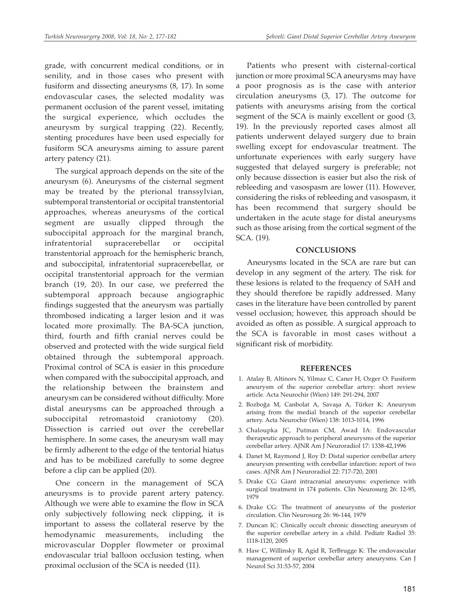grade, with concurrent medical conditions, or in senility, and in those cases who present with fusiform and dissecting aneurysms (8, 17). In some endovascular cases, the selected modality was permanent occlusion of the parent vessel, imitating the surgical experience, which occludes the aneurysm by surgical trapping (22). Recently, stenting procedures have been used especially for fusiform SCA aneurysms aiming to assure parent artery patency (21).

The surgical approach depends on the site of the aneurysm (6). Aneurysms of the cisternal segment may be treated by the pterional transsylvian, subtemporal transtentorial or occipital transtentorial approaches, whereas aneurysms of the cortical segment are usually clipped through the suboccipital approach for the marginal branch, infratentorial supracerebellar or occipital transtentorial approach for the hemispheric branch, and suboccipital, infratentorial supracerebellar, or occipital transtentorial approach for the vermian branch (19, 20). In our case, we preferred the subtemporal approach because angiographic findings suggested that the aneurysm was partially thrombosed indicating a larger lesion and it was located more proximally. The BA-SCA junction, third, fourth and fifth cranial nerves could be observed and protected with the wide surgical field obtained through the subtemporal approach. Proximal control of SCA is easier in this procedure when compared with the suboccipital approach, and the relationship between the brainstem and aneurysm can be considered without difficulty. More distal aneurysms can be approached through a suboccipital retromastoid craniotomy (20). Dissection is carried out over the cerebellar hemisphere. In some cases, the aneurysm wall may be firmly adherent to the edge of the tentorial hiatus and has to be mobilized carefully to some degree before a clip can be applied (20).

One concern in the management of SCA aneurysms is to provide parent artery patency. Although we were able to examine the flow in SCA only subjectively following neck clipping, it is important to assess the collateral reserve by the hemodynamic measurements, including the microvascular Doppler flowmeter or proximal endovascular trial balloon occlusion testing, when proximal occlusion of the SCA is needed (11).

Patients who present with cisternal-cortical junction or more proximal SCA aneurysms may have a poor prognosis as is the case with anterior circulation aneurysms (3, 17). The outcome for patients with aneurysms arising from the cortical segment of the SCA is mainly excellent or good (3, 19). In the previously reported cases almost all patients underwent delayed surgery due to brain swelling except for endovascular treatment. The unfortunate experiences with early surgery have suggested that delayed surgery is preferable; not only because dissection is easier but also the risk of rebleeding and vasospasm are lower (11). However, considering the risks of rebleeding and vasospasm, it has been recommend that surgery should be undertaken in the acute stage for distal aneurysms such as those arising from the cortical segment of the SCA. (19).

#### **CONCLUSIONS**

Aneurysms located in the SCA are rare but can develop in any segment of the artery. The risk for these lesions is related to the frequency of SAH and they should therefore be rapidly addressed. Many cases in the literature have been controlled by parent vessel occlusion; however, this approach should be avoided as often as possible. A surgical approach to the SCA is favorable in most cases without a significant risk of morbidity.

#### **REFERENCES**

- 1. Atalay B, Altinors N, Yilmaz C, Caner H, Ozger O: Fusiform aneurysm of the superior cerebellar artery: short review article. Acta Neurochir (Wien) 149: 291-294, 2007
- 2. Bozboğa M, Canbolat A, Savaşa A, Türker K: Aneurysm arising from the medial branch of the superior cerebellar artery. Acta Neurochir (Wien) 138: 1013-1014, 1996
- 3. Chaloupka JC, Putman CM, Awad IA: Endovascular therapeutic approach to peripheral aneurysms of the superior cerebellar artery. AJNR Am J Neuroradiol 17: 1338-42,1996
- 4. Danet M, Raymond J, Roy D: Distal superior cerebellar artery aneurysm presenting with cerebellar infarction: report of two cases. AJNR Am J Neuroradiol 22: 717-720, 2001
- 5. Drake CG: Giant intracranial aneurysms: experience with surgical treatment in 174 patients. Clin Neurosurg 26: 12-95, 1979
- 6. Drake CG: The treatment of aneurysms of the posterior circulation. Clin Neurosurg 26: 96-144, 1979
- 7. Duncan IC: Clinically occult chronic dissecting aneurysm of the superior cerebellar artery in a child. Pediatr Radiol 35: 1118-1120, 2005
- 8. Haw C, Willinsky R, Agid R, TerBrugge K: The endovascular management of superior cerebellar artery aneurysms. Can J Neurol Sci 31:53-57, 2004